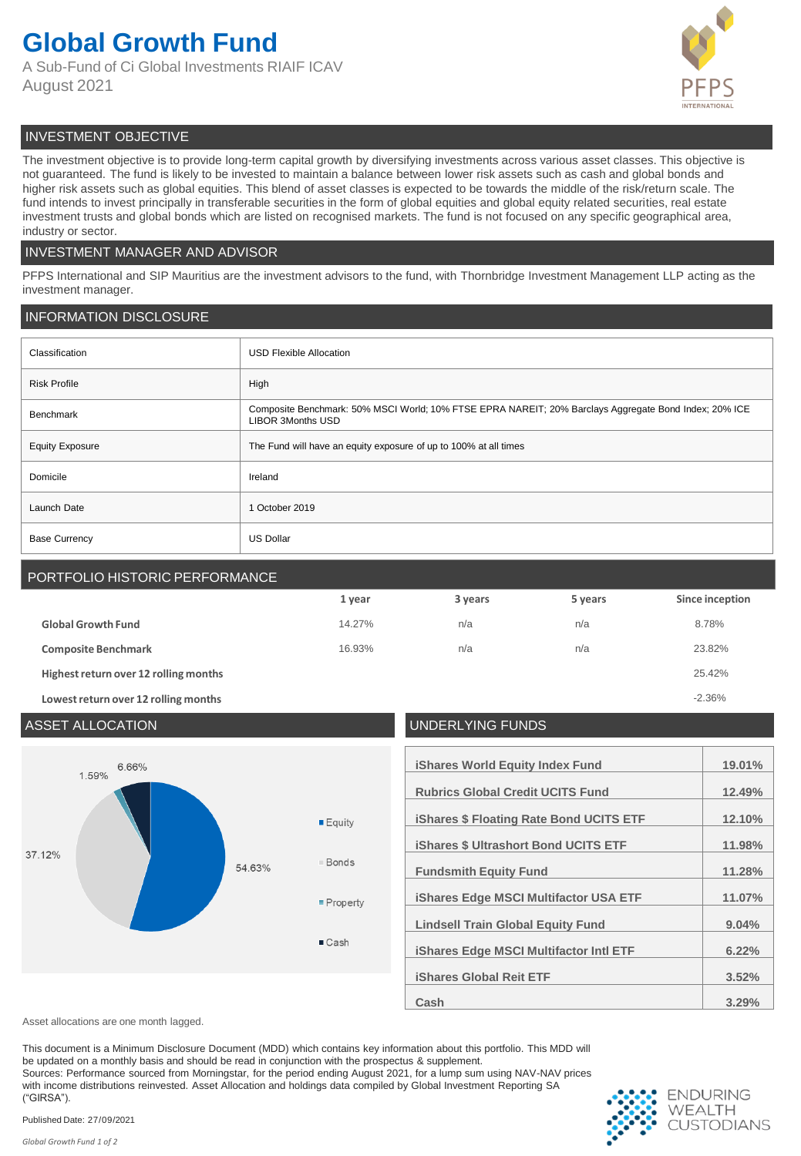# **Global Growth Fund**

A Sub-Fund of Ci Global Investments RIAIF ICAV August 2021



# INVESTMENT OBJECTIVE

The investment objective is to provide long-term capital growth by diversifying investments across various asset classes. This objective is not guaranteed. The fund is likely to be invested to maintain a balance between lower risk assets such as cash and global bonds and higher risk assets such as global equities. This blend of asset classes is expected to be towards the middle of the risk/return scale. The fund intends to invest principally in transferable securities in the form of global equities and global equity related securities, real estate investment trusts and global bonds which are listed on recognised markets. The fund is not focused on any specific geographical area, industry or sector.

# INVESTMENT MANAGER AND ADVISOR

PFPS International and SIP Mauritius are the investment advisors to the fund, with Thornbridge Investment Management LLP acting as the investment manager.

# INFORMATION DISCLOSURE

| Classification         | <b>USD Flexible Allocation</b>                                                                                                    |
|------------------------|-----------------------------------------------------------------------------------------------------------------------------------|
| <b>Risk Profile</b>    | High                                                                                                                              |
| Benchmark              | Composite Benchmark: 50% MSCI World; 10% FTSE EPRA NAREIT; 20% Barclays Aggregate Bond Index; 20% ICE<br><b>LIBOR 3Months USD</b> |
| <b>Equity Exposure</b> | The Fund will have an equity exposure of up to 100% at all times                                                                  |
| Domicile               | Ireland                                                                                                                           |
| Launch Date            | 1 October 2019                                                                                                                    |
| <b>Base Currency</b>   | <b>US Dollar</b>                                                                                                                  |

# PORTFOLIO HISTORIC PERFORMANCE

|                                       | 1 year | 3 years | 5 years | Since inception |
|---------------------------------------|--------|---------|---------|-----------------|
| <b>Global Growth Fund</b>             | 14.27% | n/a     | n/a     | 8.78%           |
| <b>Composite Benchmark</b>            | 16.93% | n/a     | n/a     | 23.82%          |
| Highest return over 12 rolling months |        |         |         | 25.42%          |
| Lowest return over 12 rolling months  |        |         |         | $-2.36%$        |

# ASSET ALLOCATION UNDERLYING FUNDS 6.66% 1.59%  $E$ Guitv 37.12% **Bonds** 54.63% Property  $\Box$  Cash

| <b>iShares World Equity Index Fund</b>         | 19.01% |
|------------------------------------------------|--------|
| <b>Rubrics Global Credit UCITS Fund</b>        | 12.49% |
|                                                |        |
| <b>iShares \$ Floating Rate Bond UCITS ETF</b> | 12.10% |
| <b>iShares \$ Ultrashort Bond UCITS ETF</b>    | 11.98% |
| <b>Fundsmith Equity Fund</b>                   | 11.28% |
| <b>iShares Edge MSCI Multifactor USA ETF</b>   | 11.07% |
| <b>Lindsell Train Global Equity Fund</b>       | 9.04%  |
| <b>iShares Edge MSCI Multifactor Intl ETF</b>  | 6.22%  |
| <b>iShares Global Reit ETF</b>                 | 3.52%  |
| Cash                                           | 3.29%  |

Asset allocations are one month lagged.

This document is a Minimum Disclosure Document (MDD) which contains key information about this portfolio. This MDD will be updated on a monthly basis and should be read in conjunction with the prospectus & supplement. Sources: Performance sourced from Morningstar, for the period ending August 2021, for a lump sum using NAV-NAV prices with income distributions reinvested. Asset Allocation and holdings data compiled by Global Investment Reporting SA ("GIRSA").



Published Date: 27/09/2021